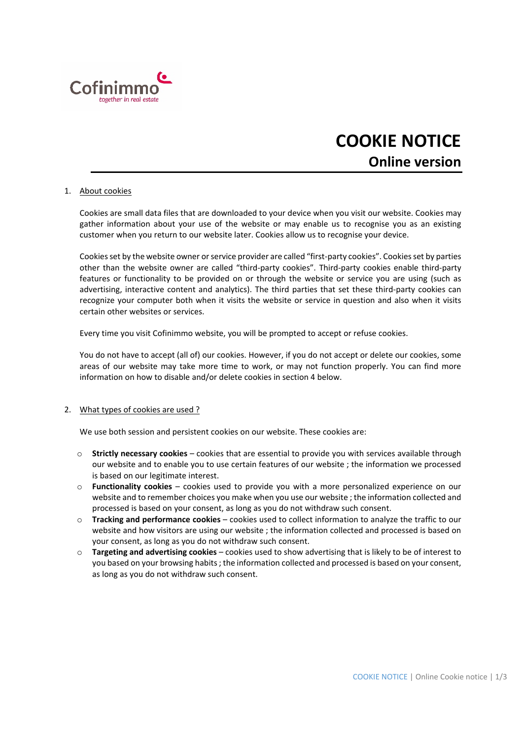

# **COOKIE NOTICE Online version**

### 1. About cookies

Cookies are small data files that are downloaded to your device when you visit our website. Cookies may gather information about your use of the website or may enable us to recognise you as an existing customer when you return to our website later. Cookies allow us to recognise your device.

Cookies set by the website owner or service provider are called "first-party cookies". Cookies set by parties other than the website owner are called "third‐party cookies". Third‐party cookies enable third‐party features or functionality to be provided on or through the website or service you are using (such as advertising, interactive content and analytics). The third parties that set these third-party cookies can recognize your computer both when it visits the website or service in question and also when it visits certain other websites or services.

Every time you visit Cofinimmo website, you will be prompted to accept or refuse cookies.

You do not have to accept (all of) our cookies. However, if you do not accept or delete our cookies, some areas of our website may take more time to work, or may not function properly. You can find more information on how to disable and/or delete cookies in section 4 below.

#### 2. What types of cookies are used ?

We use both session and persistent cookies on our website. These cookies are:

- o **Strictly necessary cookies** cookies that are essential to provide you with services available through our website and to enable you to use certain features of our website ; the information we processed is based on our legitimate interest.
- o **Functionality cookies** cookies used to provide you with a more personalized experience on our website and to remember choices you make when you use our website ; the information collected and processed is based on your consent, as long as you do not withdraw such consent.
- o **Tracking and performance cookies** cookies used to collect information to analyze the traffic to our website and how visitors are using our website ; the information collected and processed is based on your consent, as long as you do not withdraw such consent.
- o **Targeting and advertising cookies** cookies used to show advertising that is likely to be of interest to you based on your browsing habits; the information collected and processed is based on your consent, as long as you do not withdraw such consent.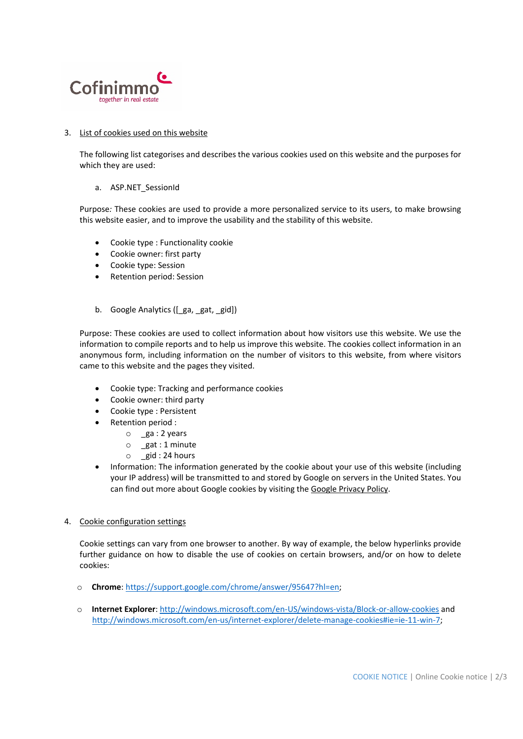

## 3. List of cookies used on this website

The following list categorises and describes the various cookies used on this website and the purposes for which they are used:

### a. ASP.NET SessionId

Purpose*:* These cookies are used to provide a more personalized service to its users, to make browsing this website easier, and to improve the usability and the stability of this website.

- Cookie type : Functionality cookie
- Cookie owner: first party
- Cookie type: Session
- Retention period: Session
- b. Google Analytics ([ga, gat, gid])

Purpose: These cookies are used to collect information about how visitors use this website. We use the information to compile reports and to help us improve this website. The cookies collect information in an anonymous form, including information on the number of visitors to this website, from where visitors came to this website and the pages they visited.

- Cookie type: Tracking and performance cookies
- Cookie owner: third party
- Cookie type : Persistent
- Retention period :
	- $\circ$  ga : 2 years
	- o \_gat : 1 minute
	- o \_gid : 24 hours
- Information: The information generated by the cookie about your use of this website (including your IP address) will be transmitted to and stored by Google on servers in the United States. You can find out more about Google cookies by visiting the Google Privacy Policy.

### 4. Cookie configuration settings

Cookie settings can vary from one browser to another. By way of example, the below hyperlinks provide further guidance on how to disable the use of cookies on certain browsers, and/or on how to delete cookies:

- o **Chrome**: https://support.google.com/chrome/answer/95647?hl=en;
- o **Internet Explorer**: http://windows.microsoft.com/en‐US/windows‐vista/Block‐or‐allow‐cookies and http://windows.microsoft.com/en‐us/internet‐explorer/delete‐manage‐cookies#ie=ie‐11‐win‐7;